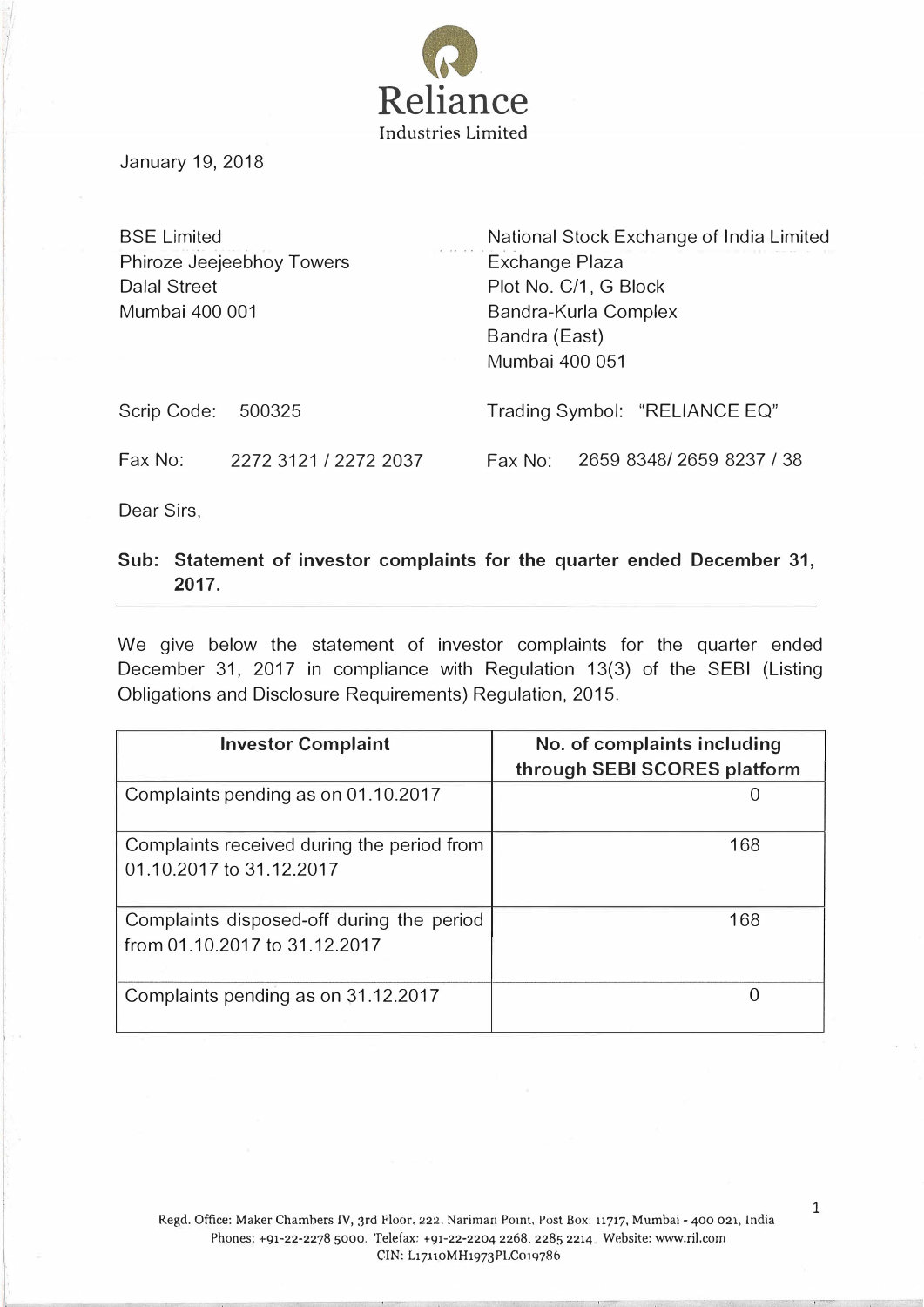

January 19, 2018

| <b>BSE Limited</b>  |                           | National Stock Exchange of India Limited |
|---------------------|---------------------------|------------------------------------------|
|                     | Phiroze Jeejeebhoy Towers | Exchange Plaza                           |
| <b>Dalal Street</b> |                           | Plot No. C/1, G Block                    |
| Mumbai 400 001      |                           | Bandra-Kurla Complex                     |
|                     |                           | Bandra (East)                            |
|                     |                           | Mumbai 400 051                           |
| Scrip Code:         | 500325                    | Trading Symbol: "RELIANCE EQ"            |
| Fax No:             | 2272 3121 / 2272 2037     | 2659 8348/2659 8237 / 38<br>Fax No:      |

Dear Sirs,

## Sub: Statement of investor complaints for the quarter ended December 31, 2017.

We give below the statement of investor complaints for the quarter ended December 31, 2017 in compliance with Regulation 13(3) of the SEBI (Listing Obligations and Disclosure Requirements) Regulation, 2015.

| <b>Investor Complaint</b>                                                  | No. of complaints including<br>through SEBI SCORES platform |
|----------------------------------------------------------------------------|-------------------------------------------------------------|
| Complaints pending as on 01.10.2017                                        |                                                             |
| Complaints received during the period from<br>01.10.2017 to 31.12.2017     | 168                                                         |
| Complaints disposed-off during the period<br>from 01.10.2017 to 31.12.2017 | 168                                                         |
| Complaints pending as on 31.12.2017                                        |                                                             |

1